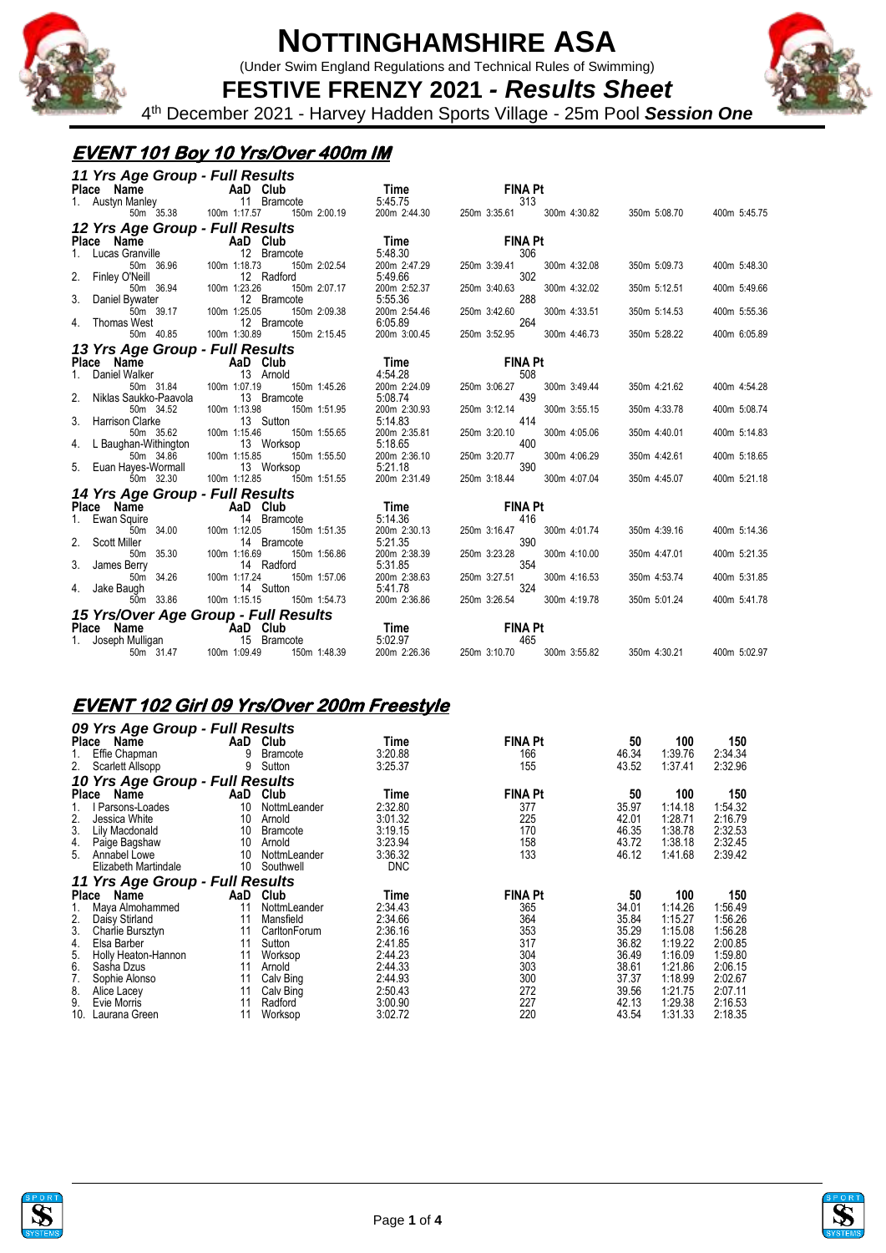

(Under Swim England Regulations and Technical Rules of Swimming)



**FESTIVE FRENZY 2021** *- Results Sheet* 4 th December 2021 - Harvey Hadden Sports Village - 25m Pool *Session One*

## **EVENT 101 Boy 10 Yrs/Over 400m IM**

| 11 Yrs Age Group - Full Results            |                                                                                                     |                                                       |                              |                              |  |
|--------------------------------------------|-----------------------------------------------------------------------------------------------------|-------------------------------------------------------|------------------------------|------------------------------|--|
| Place Name<br>1. Austyn Manley<br>11 Bramc |                                                                                                     |                                                       | <b>FINA Pt</b>               |                              |  |
|                                            | 11 Bramcote                                                                                         |                                                       | 313                          |                              |  |
| 50m 35.38                                  | 100m 1:17.57<br>150m 2:00.19                                                                        | <b>Time</b><br>5:45.75<br>m 2:00.19 200m 2:44.30 250m | 300m 4:30.82<br>250m 3:35.61 | 350m 5:08.70<br>400m 5:45.75 |  |
| 12 Yrs Age Group - Full Results            |                                                                                                     |                                                       |                              |                              |  |
| Place Name                                 |                                                                                                     | $\overline{ }$ Time                                   | <b>FINA Pt</b>               |                              |  |
| 1. Lucas Granville                         | $\begin{array}{cc}\n\text{ii} \\ \text{iii} \\ \text{iii} \\ \text{iv}\n\end{array}$<br>12 Bramcote | 5:48.30                                               | 306                          |                              |  |
| 50m 36.96                                  | 100m 1:18.73<br>150m 2:02.54                                                                        | 200m 2:47.29                                          | 250m 3:39.41<br>300m 4:32.08 | 350m 5:09.73<br>400m 5:48.30 |  |
| 2. Finley O'Neill                          | 12 Radford                                                                                          | 5:49.66                                               | 302                          |                              |  |
| 50m 36.94                                  | 100m 1:23.26<br>150m 2:07.17                                                                        | 200m 2:52.37                                          | 250m 3:40.63<br>300m 4:32.02 | 350m 5:12.51<br>400m 5:49.66 |  |
| 3.<br>Daniel Bywater                       | 12 Bramcote                                                                                         | 5:55.36                                               | 288                          |                              |  |
| 50m 39.17                                  | 150m 2:09.38<br>100m 1:25.05                                                                        | 200m 2:54.46                                          | 250m 3:42.60<br>300m 4:33.51 | 350m 5:14.53<br>400m 5:55.36 |  |
| Thomas West<br>4.                          | 12 Bramcote                                                                                         | 6:05.89                                               | 264                          |                              |  |
| 50m 40.85                                  | 150m 2:15.45<br>100m 1:30.89                                                                        | 200m 3:00.45                                          | 250m 3:52.95<br>300m 4:46.73 | 350m 5:28.22<br>400m 6:05.89 |  |
| 13 Yrs Age Group - Full Results            |                                                                                                     |                                                       |                              |                              |  |
| Place Name                                 | <b>Example 2018</b> AaD Club                                                                        | Time                                                  | <b>FINA Pt</b>               |                              |  |
| Daniel Walker                              | 13 Arnold                                                                                           | 4:54.28                                               | 508                          |                              |  |
| 50m 31.84 100m 1:07.19                     | 150m 1:45.26                                                                                        | 200m 2:24.09                                          | 250m 3:06.27<br>300m 3:49.44 | 350m 4:21.62<br>400m 4:54.28 |  |
| 2.<br>Niklas Saukko-Paavola                | 13 Bramcote                                                                                         | 5:08.74                                               | 439                          |                              |  |
| 50m 34.52                                  | 100m 1:13.98<br>150m 1:51.95                                                                        | 200m 2:30.93                                          | 250m 3:12.14<br>300m 3:55.15 | 350m 4:33.78<br>400m 5:08.74 |  |
| 3. Harrison Clarke                         | 13 Sutton                                                                                           | 5:14.83                                               | 414                          |                              |  |
| 50m 35.62                                  | 100m 1:15.46<br>150m 1:55.65                                                                        | 200m 2:35.81                                          | 250m 3:20.10<br>300m 4:05.06 | 350m 4:40.01<br>400m 5:14.83 |  |
| 4.<br>L Baughan-Withington                 | 13 Worksop                                                                                          | 5:18.65                                               | 400                          |                              |  |
| 50m 34.86                                  | 150m 1:55.50<br>100m 1:15.85                                                                        | 200m 2:36.10<br>5:21.18                               | 250m 3:20.77<br>300m 4:06.29 | 350m 4:42.61<br>400m 5:18.65 |  |
| 5. Euan Hayes-Wormall                      | 13 Worksop                                                                                          |                                                       | 390                          |                              |  |
| 50m 32.30                                  | 100m 1:12.85<br>150m 1:51.55                                                                        | 200m 2:31.49                                          | 250m 3:18.44<br>300m 4:07.04 | 400m 5:21.18<br>350m 4:45.07 |  |
| 14 Yrs Age Group - Full Results            |                                                                                                     |                                                       |                              |                              |  |
| Place Name                                 | <b>Example 2018</b> AaD Club                                                                        | <b>Time</b>                                           | <b>FINA Pt</b>               |                              |  |
| Ewan Squire                                | 14 Bramcote                                                                                         | 5:14.36                                               | 416                          |                              |  |
| 50m 34.00 100m 1:12.05                     | 150m 1:51.35                                                                                        | 200m 2:30.13                                          | 250m 3:16.47<br>300m 4:01.74 | 350m 4:39.16<br>400m 5:14.36 |  |
| Scott Miller                               | 14 Bramcote                                                                                         | 5:21.35                                               | 390                          |                              |  |
| 50m 35.30                                  | 100m 1:16.69<br>150m 1:56.86                                                                        | 200m 2:38.39                                          | 250m 3:23.28<br>300m 4:10.00 | 350m 4:47.01<br>400m 5:21.35 |  |
| 3. James Berry                             | 14 Radford                                                                                          | 5:31.85                                               | 354                          |                              |  |
| 50m 34.26                                  | 100m 1:17.24<br>150m 1:57.06                                                                        | 200m 2:38.63                                          | 250m 3:27.51<br>300m 4:16.53 | 350m 4:53.74<br>400m 5:31.85 |  |
| 4. Jake Baugh                              | 14 Sutton                                                                                           | 5:41.78                                               | 324                          |                              |  |
| 50m 33.86                                  | 150m 1:54.73<br>100m 1:15.15                                                                        | 200m 2:36.86                                          | 250m 3:26.54<br>300m 4:19.78 | 350m 5:01.24<br>400m 5:41.78 |  |
|                                            |                                                                                                     |                                                       |                              |                              |  |
|                                            | 15 Yrs/Over Age Group - Full Results<br>Place Name AaD Club                                         | <b>Time</b>                                           | <b>FINA Pt</b>               |                              |  |
| Joseph Mulligan 15 Bramcote<br>1.          |                                                                                                     | 5:02.97                                               | 465                          |                              |  |
| 50m 31.47                                  | 100m 1:09.49<br>150m 1:48.39                                                                        | 200m 2:26.36                                          | 250m 3:10.70<br>300m 3:55.82 | 350m 4:30.21<br>400m 5:02.97 |  |

### **EVENT 102 Girl 09 Yrs/Over 200m Freestyle**

|               | 09 Yrs Age Group - Full Results         |          |                    |                    |                |                |                    |                    |
|---------------|-----------------------------------------|----------|--------------------|--------------------|----------------|----------------|--------------------|--------------------|
| Place         | Name                                    | AaD      | Club               | Time               | <b>FINA Pt</b> | 50             | 100                | 150                |
| 1.            | Effie Chapman                           | 9        | Bramcote           | 3:20.88            | 166            | 46.34          | 1:39.76            | 2:34.34            |
| 2.            | Scarlett Allsopp                        | 9        | Sutton             | 3:25.37            | 155            | 43.52          | 1:37.41            | 2:32.96            |
|               | 10 Yrs Age Group - Full Results         |          |                    |                    |                |                |                    |                    |
| <b>Place</b>  | Name                                    | AaD      | Club               | Time               | <b>FINA Pt</b> | 50             | 100                | 150                |
|               | Parsons-Loades                          | 10       | NottmLeander       | 2:32.80            | 377            | 35.97          | 1:14.18            | 1:54.32            |
| 2.            | Jessica White                           | 10       | Arnold             | 3:01.32            | 225            | 42.01          | 1:28.71            | 2:16.79            |
| 3.            | Lily Macdonald                          | 10       | <b>Bramcote</b>    | 3:19.15            | 170            | 46.35          | 1:38.78            | 2:32.53            |
| 4.            | Paige Bagshaw                           | 10       | Arnold             | 3:23.94            | 158            | 43.72          | 1:38.18            | 2:32.45            |
| 5.            | Annabel Lowe                            | 10       | NottmLeander       | 3:36.32            | 133            | 46.12          | 1:41.68            | 2:39.42            |
|               | Elizabeth Martindale                    | 10       | Southwell          | <b>DNC</b>         |                |                |                    |                    |
|               |                                         |          |                    |                    |                |                |                    |                    |
|               |                                         |          |                    |                    |                |                |                    |                    |
| <b>Place</b>  | 11 Yrs Age Group - Full Results<br>Name | AaD      | Club               | Time               | <b>FINA Pt</b> | 50             | 100                | 150                |
| 1.            | Maya Almohammed                         | 11       | NottmLeander       | 2:34.43            | 365            | 34.01          | 1:14.26            | 1:56.49            |
|               | Daisy Stirland                          | 11       | Mansfield          | 2:34.66            | 364            | 35.84          | 1:15.27            | 1:56.26            |
| $\frac{2}{3}$ | Charlie Bursztyn                        | 11       | CarltonForum       | 2:36.16            | 353            | 35.29          | 1:15.08            | 1:56.28            |
| 4.            | Elsa Barber                             | 11       | Sutton             | 2:41.85            | 317            | 36.82          | 1:19.22            | 2:00.85            |
| 5.            | Holly Heaton-Hannon                     | 11       | Worksop            | 2:44.23            | 304            | 36.49          | 1:16.09            | 1:59.80            |
| 6.            | Sasha Dzus                              | 11       | Arnold             | 2:44.33            | 303            | 38.61          | 1:21.86            | 2:06.15            |
| 7.            | Sophie Alonso                           | 11       | Calv Bing          | 2:44.93            | 300            | 37.37          | 1:18.99            | 2:02.67            |
| 8.            | Alice Lacey                             | 11       | Calv Bing          | 2:50.43            | 272            | 39.56          | 1:21.75            | 2:07.11            |
| 9.<br>10.     | Evie Morris<br>Laurana Green            | 11<br>11 | Radford<br>Worksop | 3:00.90<br>3:02.72 | 227<br>220     | 42.13<br>43.54 | 1:29.38<br>1:31.33 | 2:16.53<br>2:18.35 |





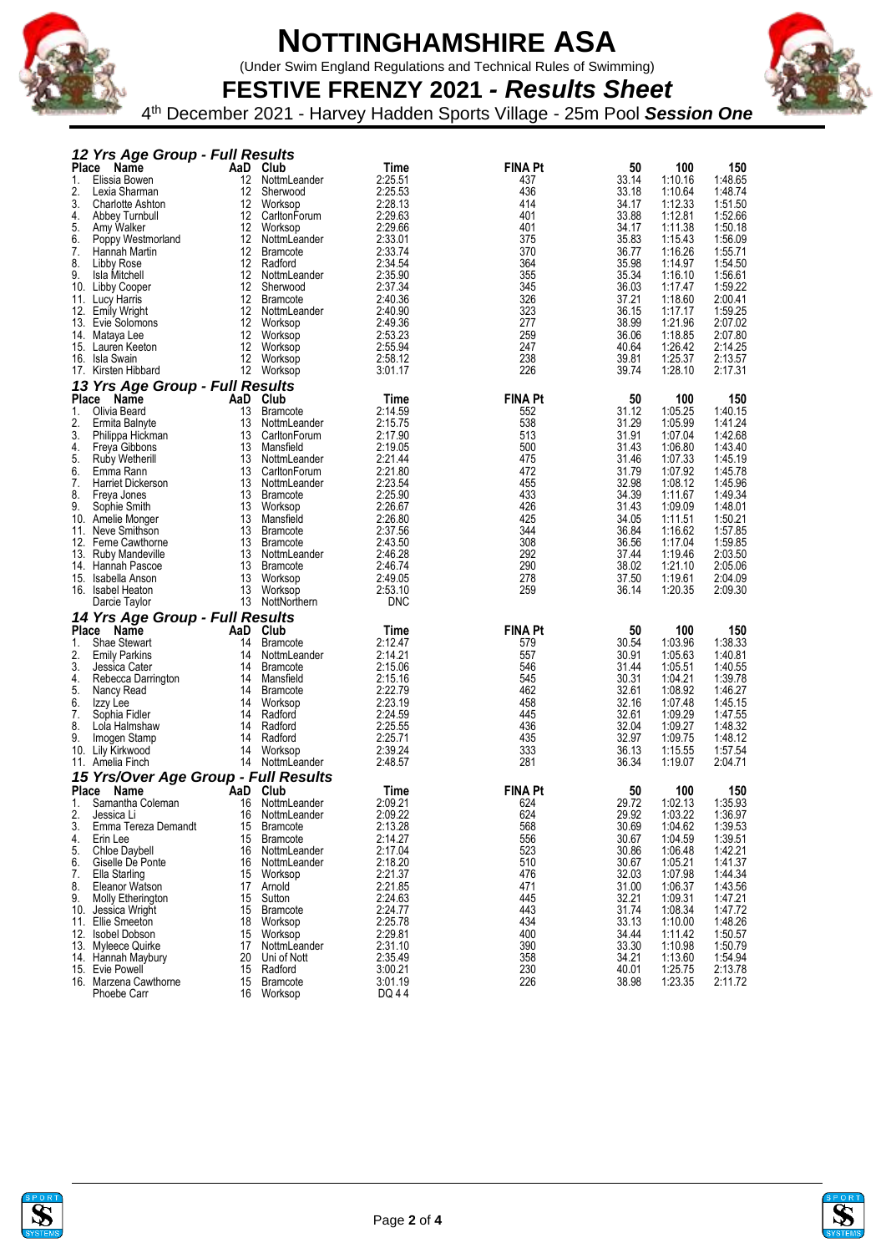

(Under Swim England Regulations and Technical Rules of Swimming)

**FESTIVE FRENZY 2021** *- Results Sheet* 4 th December 2021 - Harvey Hadden Sports Village - 25m Pool *Session One*

|              | 12 Yrs Age Group - Full Results       |                  |                                    |                    |                |                |                    |                    |
|--------------|---------------------------------------|------------------|------------------------------------|--------------------|----------------|----------------|--------------------|--------------------|
| <b>Place</b> | Name                                  |                  | AaD Club                           | Time               | <b>FINA Pt</b> | 50             | 100                | 150                |
| 1.           | Elissia Bowen                         | 12               | NottmLeander                       | 2:25.51            | 437            | 33.14          | 1:10.16            | 1:48.65            |
| 2.<br>3.     | Lexia Sharman<br>Charlotte Ashton     | 12<br>12         | Sherwood<br>Worksop                | 2:25.53<br>2:28.13 | 436<br>414     | 33.18<br>34.17 | 1:10.64<br>1:12.33 | 1:48.74<br>1:51.50 |
| 4.           | Abbey Turnbull                        | 12 <sup>12</sup> | CarltonForum                       | 2:29.63            | 401            | 33.88          | 1:12.81            | 1:52.66            |
| 5.           | Amy Walker                            | 12               | Worksop                            | 2:29.66            | 401            | 34.17          | 1:11.38            | 1:50.18            |
| 6.           | Poppy Westmorland                     | 12               | NottmLeander                       | 2:33.01            | 375            | 35.83          | 1:15.43            | 1:56.09            |
| 7.           | Hannah Martin                         |                  | 12 Bramcote                        | 2:33.74            | 370            | 36.77          | 1:16.26            | 1:55.71            |
| 8.           | Libby Rose                            | 12               | Radford                            | 2:34.54            | 364            | 35.98          | 1:14.97            | 1:54.50            |
| 9.           | Isla Mitchell                         | 12               | NottmLeander                       | 2:35.90            | 355            | 35.34          | 1:16.10            | 1:56.61            |
|              | 10. Libby Cooper                      | 12 <sup>12</sup> | Sherwood                           | 2:37.34            | 345            | 36.03          | 1:17.47            | 1:59.22            |
|              | 11. Lucy Harris                       | 12               | <b>Bramcote</b>                    | 2:40.36            | 326            | 37.21          | 1:18.60            | 2:00.41            |
|              | 12. Emily Wright<br>13. Evie Solomons | 12               | 12 NottmLeander<br>Worksop         | 2:40.90<br>2:49.36 | 323<br>277     | 36.15<br>38.99 | 1:17.17<br>1:21.96 | 1:59.25<br>2:07.02 |
|              | 14. Mataya Lee                        | 12               | Worksop                            | 2:53.23            | 259            | 36.06          | 1:18.85            | 2:07.80            |
|              | 15. Lauren Keeton                     | 12               | Worksop                            | 2:55.94            | 247            | 40.64          | 1:26.42            | 2:14.25            |
|              | 16. Isla Swain                        | 12               | Worksop                            | 2:58.12            | 238            | 39.81          | 1:25.37            | 2:13.57            |
|              | 17. Kirsten Hibbard                   |                  | 12 Worksop                         | 3:01.17            | 226            | 39.74          | 1:28.10            | 2:17.31            |
|              | 13 Yrs Age Group - Full Results       |                  |                                    |                    |                |                |                    |                    |
| <b>Place</b> | Name                                  |                  | AaD Club                           | Time               | <b>FINA Pt</b> | 50             | 100                | 150                |
| 1.           | Olivia Beard                          | 13               | <b>Bramcote</b>                    | 2:14.59            | 552            | 31.12          | 1:05.25            | 1:40.15            |
| 2.           | Ermita Balnyte                        | 13               | NottmLeander                       | 2:15.75            | 538            | 31.29          | 1:05.99            | 1:41.24            |
| 3.           | Philippa Hickman                      | 13               | CarltonForum                       | 2:17.90            | 513            | 31.91          | 1:07.04            | 1:42.68            |
| 4.           | Freya Gibbons                         | 13               | Mansfield                          | 2:19.05            | 500            | 31.43          | 1:06.80            | 1:43.40            |
| 5.           | Ruby Wetherill                        | 13               | NottmLeander                       | 2:21.44            | 475            | 31.46          | 1:07.33            | 1:45.19            |
| 6.           | Emma Rann                             | 13               | CarltonForum<br>13 NottmLeander    | 2:21.80            | 472            | 31.79          | 1:07.92            | 1:45.78            |
| 7.<br>8.     | <b>Harriet Dickerson</b>              | 13               | Bramcote                           | 2:23.54<br>2:25.90 | 455<br>433     | 32.98<br>34.39 | 1:08.12<br>1:11.67 | 1:45.96<br>1:49.34 |
| 9.           | Freya Jones<br>Sophie Smith           | 13               | Worksop                            | 2:26.67            | 426            | 31.43          | 1:09.09            | 1:48.01            |
|              | 10. Amelie Monger                     | 13               | Mansfield                          | 2:26.80            | 425            | 34.05          | 1:11.51            | 1:50.21            |
|              | 11. Neve Smithson                     | 13               | Bramcote                           | 2:37.56            | 344            | 36.84          | 1:16.62            | 1:57.85            |
| 12.          | Ferne Cawthorne                       | 13               | <b>Bramcote</b>                    | 2:43.50            | 308            | 36.56          | 1:17.04            | 1:59.85            |
|              | 13. Ruby Mandeville                   |                  | 13 NottmLeander                    | 2:46.28            | 292            | 37.44          | 1:19.46            | 2:03.50            |
| 14.          | Hannah Pascoe                         | 13               | Bramcote                           | 2:46.74            | 290            | 38.02          | 1:21.10            | 2:05.06            |
|              | 15. Isabella Anson                    | 13               | Worksop                            | 2:49.05            | 278            | 37.50          | 1:19.61            | 2:04.09            |
|              | 16. Isabel Heaton                     | 13               | Worksop                            | 2:53.10            | 259            | 36.14          | 1:20.35            | 2:09.30            |
|              |                                       |                  |                                    |                    |                |                |                    |                    |
|              | Darcie Taylor                         |                  | 13 NottNorthern                    | <b>DNC</b>         |                |                |                    |                    |
|              | 14 Yrs Age Group - Full Results       |                  |                                    |                    |                |                |                    |                    |
| <b>Place</b> | <b>Name</b>                           | AaD              | Club                               | Time               | <b>FINA Pt</b> | 50             | 100                | 150                |
| 1.           | Shae Stewart                          | 14               | <b>Bramcote</b>                    | 2:12.47            | 579            | 30.54          | 1:03.96            | 1:38.33            |
| 2.           | <b>Emily Parkins</b>                  | 14               | NottmLeander                       | 2:14.21            | 557            | 30.91          | 1:05.63            | 1:40.81            |
| 3.           | Jessica Cater                         | 14               | <b>Bramcote</b>                    | 2:15.06            | 546            | 31.44          | 1:05.51            | 1:40.55            |
| 4.<br>5.     | Rebecca Darrington                    | 14<br>14         | Mansfield<br>Bramcote              | 2:15.16<br>2:22.79 | 545<br>462     | 30.31          | 1:04.21<br>1:08.92 | 1:39.78<br>1:46.27 |
| 6.           | Nancy Read<br>Izzy Lee                | 14               | Worksop                            | 2:23.19            | 458            | 32.61<br>32.16 | 1:07.48            | 1:45.15            |
| 7.           | Sophia Fidler                         | 14               | Radford                            | 2:24.59            | 445            | 32.61          | 1:09.29            | 1:47.55            |
| 8.           | Lola Halmshaw                         | 14               | Radford                            | 2:25.55            | 436            | 32.04          | 1:09.27            | 1:48.32            |
| 9.           | Imogen Stamp                          | 14               | Radford                            | 2:25.71            | 435            | 32.97          | 1:09.75            | 1:48.12            |
|              | 10. Lily Kirkwood                     |                  | 14 Worksop                         | 2:39.24            | 333            | 36.13          | 1:15.55            | 1:57.54            |
|              | 11. Amelia Finch                      |                  | 14 NottmLeander                    | 2:48.57            | 281            | 36.34          | 1:19.07            | 2:04.71            |
|              | 15 Yrs/Over Age Group - Full Results  |                  |                                    |                    |                |                |                    |                    |
| <b>Place</b> | <b>Name</b>                           | AaD              | Club                               | Time               | <b>FINA Pt</b> | 50             | 100                | 150                |
| 1.           | Samantha Coleman                      | 16               | NottmLeander                       | 2:09.21            | 624            | 29.72          | 1:02.13            | 1:35.93            |
| 2.           | Jessica Li                            |                  | 16 NottmLeander                    | 2:09.22            | 624            | 29.92          | 1:03.22            | 1:36.97            |
| 3.           | Emma Tereza Demandt                   | 15               | Bramcote                           | 2:13.28            | 568            | 30.69          | 1:04.62            | 1:39.53            |
| 4.<br>5.     | Erin Lee<br>Chloe Daybell             | 15               | <b>Bramcote</b><br>16 NottmLeander | 2:14.27<br>2:17.04 | 556            | 30.67<br>30.86 | 1:04.59<br>1:06.48 | 1:39.51<br>1:42.21 |
| 6.           | Giselle De Ponte                      | 16               | NottmLeander                       | 2:18.20            | 523<br>510     | 30.67          | 1:05.21            | 1:41.37            |
| 7.           | Ella Starling                         | 15               | Worksop                            | 2:21.37            | 476            | 32.03          | 1:07.98            | 1:44.34            |
| 8.           | Eleanor Watson                        |                  | 17 Arnold                          | 2:21.85            | 471            | 31.00          | 1:06.37            | 1:43.56            |
| 9.           | <b>Molly Etherington</b>              | 15               | Sutton                             | 2:24.63            | 445            | 32.21          | 1:09.31            | 1:47.21            |
|              | 10. Jessica Wright                    |                  | 15 Bramcote                        | 2:24.77            | 443            | 31.74          | 1:08.34            | 1:47.72            |
|              | 11. Ellie Smeeton                     |                  | 18 Worksop                         | 2:25.78            | 434            | 33.13          | 1:10.00            | 1:48.26            |
|              | 12. Isobel Dobson                     | 15               | Worksop                            | 2:29.81            | 400            | 34.44          | 1:11.42            | 1:50.57            |
|              | 13. Myleece Quirke                    | 17               | NottmLeander                       | 2:31.10            | 390            | 33.30          | 1:10.98            | 1:50.79            |
|              | 14. Hannah Maybury<br>15. Evie Powell | 20<br>15         | Uni of Nott<br>Radford             | 2:35.49<br>3:00.21 | 358            | 34.21<br>40.01 | 1:13.60<br>1:25.75 | 1:54.94            |
|              | 16. Marzena Cawthorne                 |                  | 15 Bramcote                        | 3:01.19            | 230<br>226     | 38.98          | 1:23.35            | 2:13.78<br>2:11.72 |



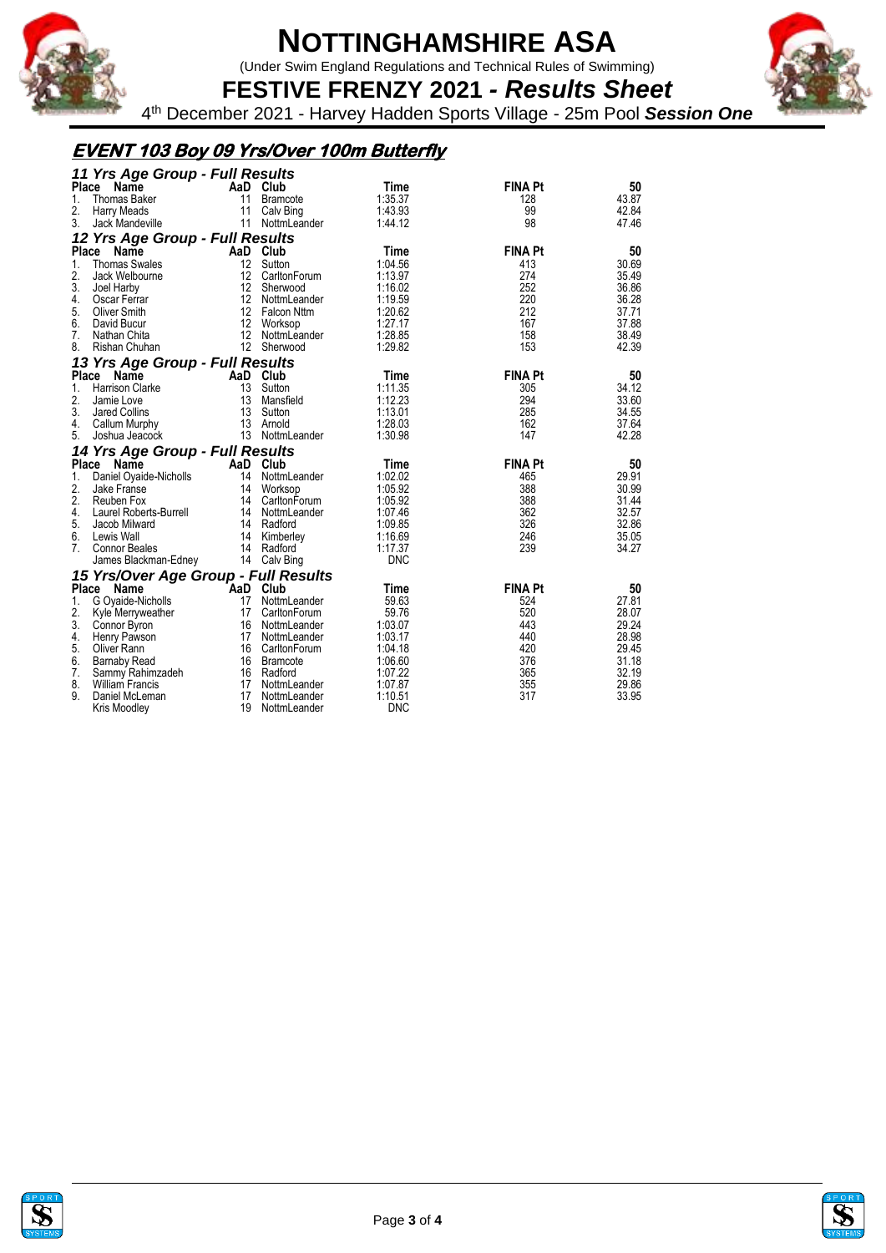

(Under Swim England Regulations and Technical Rules of Swimming)



**FESTIVE FRENZY 2021** *- Results Sheet* 4 th December 2021 - Harvey Hadden Sports Village - 25m Pool *Session One*

## **EVENT 103 Boy 09 Yrs/Over 100m Butterfly**

| 11 Yrs Age Group - Full Results |                                              |          |                              |                       |                |       |  |  |  |  |  |
|---------------------------------|----------------------------------------------|----------|------------------------------|-----------------------|----------------|-------|--|--|--|--|--|
| Place                           | Name                                         |          | AaD Club                     | Time                  | <b>FINA Pt</b> | 50    |  |  |  |  |  |
| 1.                              | <b>Thomas Baker</b>                          | 11       | Bramcote                     | 1:35.37               | 128            | 43.87 |  |  |  |  |  |
| 2.                              | Harry Meads                                  | 11       | Calv Bing                    | 1:43.93               | 99             | 42.84 |  |  |  |  |  |
| 3.                              | Jack Mandeville                              | 11       | NottmLeander                 | 1:44.12               | 98             | 47.46 |  |  |  |  |  |
|                                 | 12 Yrs Age Group - Full Results              |          |                              |                       |                |       |  |  |  |  |  |
|                                 | Place Name                                   |          | AaD Club                     | Time                  | <b>FINA Pt</b> | 50    |  |  |  |  |  |
| 1.                              | <b>Thomas Swales</b>                         | 12       | Sutton                       | 1:04.56               | 413            | 30.69 |  |  |  |  |  |
| 2.                              | Jack Welbourne                               | 12       | CarltonForum                 | 1:13.97               | 274            | 35.49 |  |  |  |  |  |
| 3.                              | Joel Harby                                   | 12       | Sherwood                     | 1:16.02               | 252            | 36.86 |  |  |  |  |  |
| 4.                              | Oscar Ferrar                                 | 12       | NottmLeander                 | 1:19.59               | 220            | 36.28 |  |  |  |  |  |
| 5.                              | Oliver Smith                                 |          | 12 Falcon Nttm               | 1:20.62               | 212            | 37.71 |  |  |  |  |  |
| 6.                              | David Bucur                                  | 12       | Worksop                      | 1:27.17               | 167            | 37.88 |  |  |  |  |  |
| 7 <sub>1</sub>                  | Nathan Chita                                 | 12       | NottmLeander                 | 1:28.85               | 158            | 38.49 |  |  |  |  |  |
| 8.                              | Rishan Chuhan                                |          | 12 Sherwood                  | 1:29.82               | 153            | 42.39 |  |  |  |  |  |
|                                 | 13 Yrs Age Group - Full Results              |          |                              |                       |                |       |  |  |  |  |  |
|                                 | Place Name                                   |          | AaD Club                     | Time                  | <b>FINA Pt</b> | 50    |  |  |  |  |  |
| 1.                              | <b>Harrison Clarke</b>                       | 13       | Sutton                       | 1:11.35               | 305            | 34.12 |  |  |  |  |  |
| 2.                              | Jamie Love                                   | 13       | Mansfield                    | 1:12.23               | 294            | 33.60 |  |  |  |  |  |
| 3.                              | Jared Collins                                | 13       | Sutton                       | 1:13.01               | 285            | 34.55 |  |  |  |  |  |
| 4.                              | Callum Murphy                                |          | 13 Arnold                    | 1:28.03               | 162            | 37.64 |  |  |  |  |  |
| 5.                              | Joshua Jeacock                               |          | 13 NottmLeander              | 1:30.98               | 147            | 42.28 |  |  |  |  |  |
|                                 |                                              |          |                              |                       |                |       |  |  |  |  |  |
|                                 |                                              |          |                              |                       |                |       |  |  |  |  |  |
|                                 | 14 Yrs Age Group - Full Results              |          |                              |                       |                |       |  |  |  |  |  |
|                                 | Place Name                                   |          | AaD Club                     | Time                  | <b>FINA Pt</b> | 50    |  |  |  |  |  |
| 1.                              | Daniel Oyaide-Nicholls                       |          | 14 NottmLeander              | 1:02.02               | 465            | 29.91 |  |  |  |  |  |
| 2.                              | Jake Franse                                  |          | 14 Worksop                   | 1:05.92               | 388            | 30.99 |  |  |  |  |  |
| 2.                              | Reuben Fox                                   | 14       | CarltonForum                 | 1:05.92               | 388            | 31.44 |  |  |  |  |  |
| 4.                              | Laurel Roberts-Burrell                       |          | 14 NottmLeander              | 1:07.46               | 362            | 32.57 |  |  |  |  |  |
| 5.                              | Jacob Milward                                |          | 14 Radford                   | 1:09.85               | 326            | 32.86 |  |  |  |  |  |
| 6.                              | Lewis Wall                                   | 14       | Kimberley                    | 1:16.69               | 246            | 35.05 |  |  |  |  |  |
| 7 <sup>1</sup>                  | <b>Connor Beales</b>                         | 14       | Radford                      | 1:17.37               | 239            | 34.27 |  |  |  |  |  |
|                                 | James Blackman-Edney                         |          | 14 Calv Bing                 | <b>DNC</b>            |                |       |  |  |  |  |  |
|                                 |                                              |          |                              |                       |                |       |  |  |  |  |  |
| <b>Place</b>                    | 15 Yrs/Over Age Group - Full Results<br>Name |          | AaD Club                     | <b>Time</b>           | <b>FINA Pt</b> | 50    |  |  |  |  |  |
| 1.                              |                                              | 17       | NottmLeander                 | 59.63                 | 524            | 27.81 |  |  |  |  |  |
|                                 | G Oyaide-Nicholls                            | 17       | CarltonForum                 | 59.76                 | 520            | 28.07 |  |  |  |  |  |
| 2.                              | Kyle Merryweather                            |          |                              |                       |                |       |  |  |  |  |  |
| 3.                              | Connor Byron                                 | 16       | NottmLeander                 | 1:03.07               | 443            | 29.24 |  |  |  |  |  |
| 4.                              | Henry Pawson                                 |          | 17 NottmLeander              | 1:03.17               | 440            | 28.98 |  |  |  |  |  |
| 5.                              | Oliver Rann                                  |          | 16 CarltonForum              | 1:04.18               | 420            | 29.45 |  |  |  |  |  |
| 6.                              | <b>Barnaby Read</b>                          |          | 16 Bramcote                  | 1:06.60               | 376            | 31.18 |  |  |  |  |  |
| 7.                              | Sammy Rahimzadeh                             |          | 16 Radford                   | 1:07.22               | 365            | 32.19 |  |  |  |  |  |
| 8.                              | <b>William Francis</b>                       | 17       | NottmLeander                 | 1:07.87               | 355            | 29.86 |  |  |  |  |  |
| 9.                              | Daniel McLeman<br>Kris Moodley               | 17<br>19 | NottmLeander<br>NottmLeander | 1:10.51<br><b>DNC</b> | 317            | 33.95 |  |  |  |  |  |